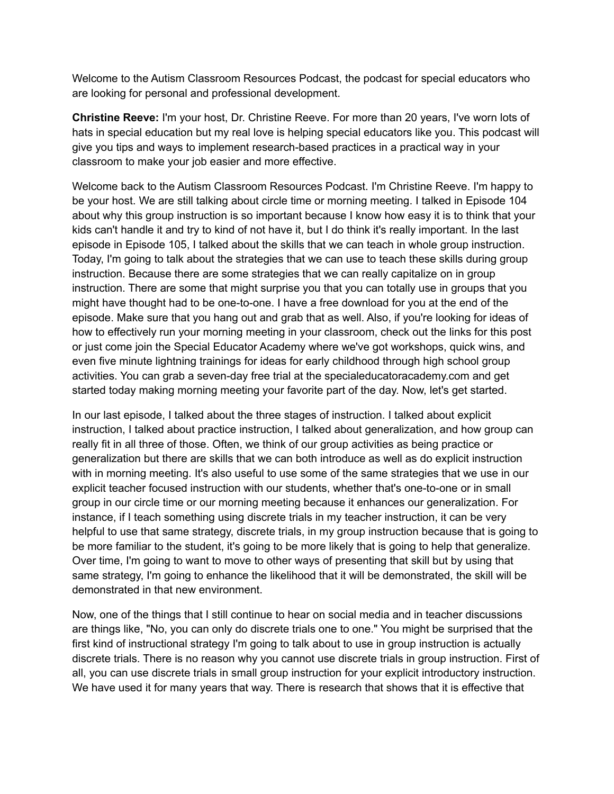Welcome to the Autism Classroom Resources Podcast, the podcast for special educators who are looking for personal and professional development.

**Christine Reeve:** I'm your host, Dr. Christine Reeve. For more than 20 years, I've worn lots of hats in special education but my real love is helping special educators like you. This podcast will give you tips and ways to implement research-based practices in a practical way in your classroom to make your job easier and more effective.

Welcome back to the Autism Classroom Resources Podcast. I'm Christine Reeve. I'm happy to be your host. We are still talking about circle time or morning meeting. I talked in Episode 104 about why this group instruction is so important because I know how easy it is to think that your kids can't handle it and try to kind of not have it, but I do think it's really important. In the last episode in Episode 105, I talked about the skills that we can teach in whole group instruction. Today, I'm going to talk about the strategies that we can use to teach these skills during group instruction. Because there are some strategies that we can really capitalize on in group instruction. There are some that might surprise you that you can totally use in groups that you might have thought had to be one-to-one. I have a free download for you at the end of the episode. Make sure that you hang out and grab that as well. Also, if you're looking for ideas of how to effectively run your morning meeting in your classroom, check out the links for this post or just come join the Special Educator Academy where we've got workshops, quick wins, and even five minute lightning trainings for ideas for early childhood through high school group activities. You can grab a seven-day free trial at the specialeducatoracademy.com and get started today making morning meeting your favorite part of the day. Now, let's get started.

In our last episode, I talked about the three stages of instruction. I talked about explicit instruction, I talked about practice instruction, I talked about generalization, and how group can really fit in all three of those. Often, we think of our group activities as being practice or generalization but there are skills that we can both introduce as well as do explicit instruction with in morning meeting. It's also useful to use some of the same strategies that we use in our explicit teacher focused instruction with our students, whether that's one-to-one or in small group in our circle time or our morning meeting because it enhances our generalization. For instance, if I teach something using discrete trials in my teacher instruction, it can be very helpful to use that same strategy, discrete trials, in my group instruction because that is going to be more familiar to the student, it's going to be more likely that is going to help that generalize. Over time, I'm going to want to move to other ways of presenting that skill but by using that same strategy, I'm going to enhance the likelihood that it will be demonstrated, the skill will be demonstrated in that new environment.

Now, one of the things that I still continue to hear on social media and in teacher discussions are things like, "No, you can only do discrete trials one to one." You might be surprised that the first kind of instructional strategy I'm going to talk about to use in group instruction is actually discrete trials. There is no reason why you cannot use discrete trials in group instruction. First of all, you can use discrete trials in small group instruction for your explicit introductory instruction. We have used it for many years that way. There is research that shows that it is effective that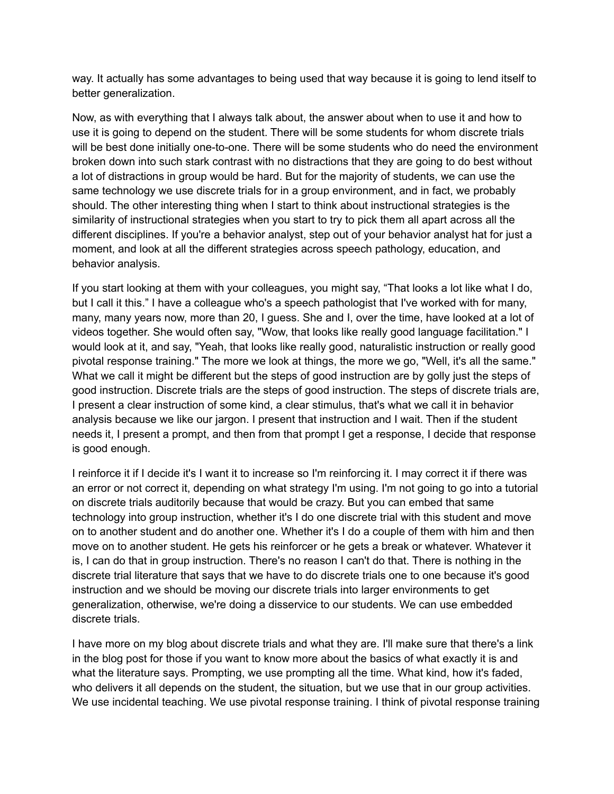way. It actually has some advantages to being used that way because it is going to lend itself to better generalization.

Now, as with everything that I always talk about, the answer about when to use it and how to use it is going to depend on the student. There will be some students for whom discrete trials will be best done initially one-to-one. There will be some students who do need the environment broken down into such stark contrast with no distractions that they are going to do best without a lot of distractions in group would be hard. But for the majority of students, we can use the same technology we use discrete trials for in a group environment, and in fact, we probably should. The other interesting thing when I start to think about instructional strategies is the similarity of instructional strategies when you start to try to pick them all apart across all the different disciplines. If you're a behavior analyst, step out of your behavior analyst hat for just a moment, and look at all the different strategies across speech pathology, education, and behavior analysis.

If you start looking at them with your colleagues, you might say, "That looks a lot like what I do, but I call it this." I have a colleague who's a speech pathologist that I've worked with for many, many, many years now, more than 20, I guess. She and I, over the time, have looked at a lot of videos together. She would often say, "Wow, that looks like really good language facilitation." I would look at it, and say, "Yeah, that looks like really good, naturalistic instruction or really good pivotal response training." The more we look at things, the more we go, "Well, it's all the same." What we call it might be different but the steps of good instruction are by golly just the steps of good instruction. Discrete trials are the steps of good instruction. The steps of discrete trials are, I present a clear instruction of some kind, a clear stimulus, that's what we call it in behavior analysis because we like our jargon. I present that instruction and I wait. Then if the student needs it, I present a prompt, and then from that prompt I get a response, I decide that response is good enough.

I reinforce it if I decide it's I want it to increase so I'm reinforcing it. I may correct it if there was an error or not correct it, depending on what strategy I'm using. I'm not going to go into a tutorial on discrete trials auditorily because that would be crazy. But you can embed that same technology into group instruction, whether it's I do one discrete trial with this student and move on to another student and do another one. Whether it's I do a couple of them with him and then move on to another student. He gets his reinforcer or he gets a break or whatever. Whatever it is, I can do that in group instruction. There's no reason I can't do that. There is nothing in the discrete trial literature that says that we have to do discrete trials one to one because it's good instruction and we should be moving our discrete trials into larger environments to get generalization, otherwise, we're doing a disservice to our students. We can use embedded discrete trials.

I have more on my blog about discrete trials and what they are. I'll make sure that there's a link in the blog post for those if you want to know more about the basics of what exactly it is and what the literature says. Prompting, we use prompting all the time. What kind, how it's faded, who delivers it all depends on the student, the situation, but we use that in our group activities. We use incidental teaching. We use pivotal response training. I think of pivotal response training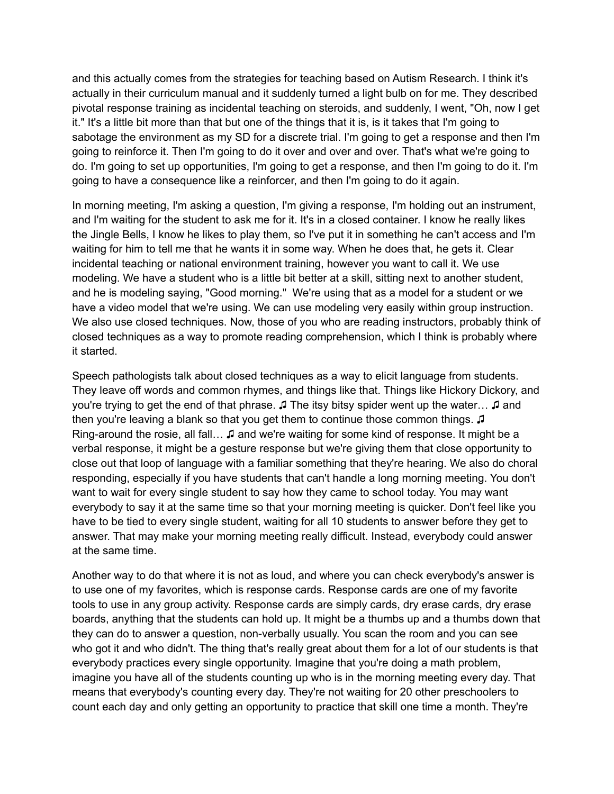and this actually comes from the strategies for teaching based on Autism Research. I think it's actually in their curriculum manual and it suddenly turned a light bulb on for me. They described pivotal response training as incidental teaching on steroids, and suddenly, I went, "Oh, now I get it." It's a little bit more than that but one of the things that it is, is it takes that I'm going to sabotage the environment as my SD for a discrete trial. I'm going to get a response and then I'm going to reinforce it. Then I'm going to do it over and over and over. That's what we're going to do. I'm going to set up opportunities, I'm going to get a response, and then I'm going to do it. I'm going to have a consequence like a reinforcer, and then I'm going to do it again.

In morning meeting, I'm asking a question, I'm giving a response, I'm holding out an instrument, and I'm waiting for the student to ask me for it. It's in a closed container. I know he really likes the Jingle Bells, I know he likes to play them, so I've put it in something he can't access and I'm waiting for him to tell me that he wants it in some way. When he does that, he gets it. Clear incidental teaching or national environment training, however you want to call it. We use modeling. We have a student who is a little bit better at a skill, sitting next to another student, and he is modeling saying, "Good morning." We're using that as a model for a student or we have a video model that we're using. We can use modeling very easily within group instruction. We also use closed techniques. Now, those of you who are reading instructors, probably think of closed techniques as a way to promote reading comprehension, which I think is probably where it started.

Speech pathologists talk about closed techniques as a way to elicit language from students. They leave off words and common rhymes, and things like that. Things like Hickory Dickory, and you're trying to get the end of that phrase. <del>□</del> The itsy bitsy spider went up the water... □ and then you're leaving a blank so that you get them to continue those common things. <del>□</del> Ring-around the rosie, all fall… ♫ and we're waiting for some kind of response. It might be a verbal response, it might be a gesture response but we're giving them that close opportunity to close out that loop of language with a familiar something that they're hearing. We also do choral responding, especially if you have students that can't handle a long morning meeting. You don't want to wait for every single student to say how they came to school today. You may want everybody to say it at the same time so that your morning meeting is quicker. Don't feel like you have to be tied to every single student, waiting for all 10 students to answer before they get to answer. That may make your morning meeting really difficult. Instead, everybody could answer at the same time.

Another way to do that where it is not as loud, and where you can check everybody's answer is to use one of my favorites, which is response cards. Response cards are one of my favorite tools to use in any group activity. Response cards are simply cards, dry erase cards, dry erase boards, anything that the students can hold up. It might be a thumbs up and a thumbs down that they can do to answer a question, non-verbally usually. You scan the room and you can see who got it and who didn't. The thing that's really great about them for a lot of our students is that everybody practices every single opportunity. Imagine that you're doing a math problem, imagine you have all of the students counting up who is in the morning meeting every day. That means that everybody's counting every day. They're not waiting for 20 other preschoolers to count each day and only getting an opportunity to practice that skill one time a month. They're